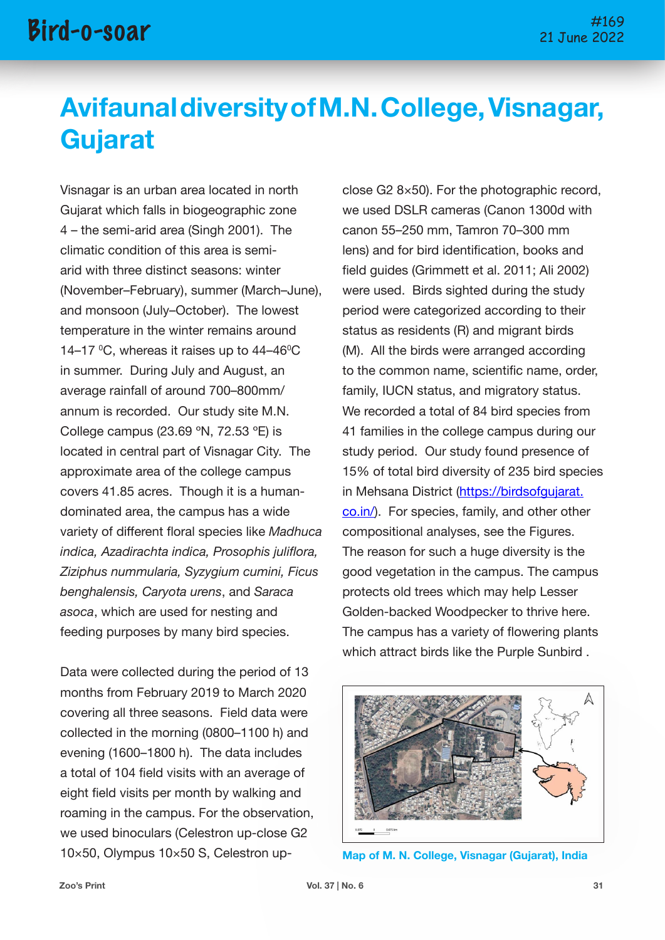# **Avifaunal diversity of M.N. College, Visnagar, Gujarat**

Visnagar is an urban area located in north Gujarat which falls in biogeographic zone 4 – the semi-arid area (Singh 2001). The climatic condition of this area is semiarid with three distinct seasons: winter (November–February), summer (March–June), and monsoon (July–October). The lowest temperature in the winter remains around 14–17 °C, whereas it raises up to  $44-46$ °C in summer. During July and August, an average rainfall of around 700–800mm/ annum is recorded. Our study site M.N. College campus (23.69 ºN, 72.53 ºE) is located in central part of Visnagar City. The approximate area of the college campus covers 41.85 acres. Though it is a humandominated area, the campus has a wide variety of different floral species like *Madhuca indica, Azadirachta indica, Prosophis juliflora, Ziziphus nummularia, Syzygium cumini, Ficus benghalensis, Caryota urens*, and *Saraca asoca*, which are used for nesting and feeding purposes by many bird species.

Data were collected during the period of 13 months from February 2019 to March 2020 covering all three seasons. Field data were collected in the morning (0800–1100 h) and evening (1600–1800 h). The data includes a total of 104 field visits with an average of eight field visits per month by walking and roaming in the campus. For the observation, we used binoculars (Celestron up-close G2 10×50, Olympus 10×50 S, Celestron upclose G2 8×50). For the photographic record, we used DSLR cameras (Canon 1300d with canon 55–250 mm, Tamron 70–300 mm lens) and for bird identification, books and field guides (Grimmett et al. 2011; Ali 2002) were used. Birds sighted during the study period were categorized according to their status as residents (R) and migrant birds (M). All the birds were arranged according to the common name, scientific name, order, family, IUCN status, and migratory status. We recorded a total of 84 bird species from 41 families in the college campus during our study period. Our study found presence of 15% of total bird diversity of 235 bird species in Mehsana District [\(https://birdsofgujarat.](https://birdsofgujarat.co.in/) [co.in/](https://birdsofgujarat.co.in/)). For species, family, and other other compositional analyses, see the Figures. The reason for such a huge diversity is the good vegetation in the campus. The campus protects old trees which may help Lesser Golden-backed Woodpecker to thrive here. The campus has a variety of flowering plants which attract birds like the Purple Sunbird .



**Map of M. N. College, Visnagar (Gujarat), India**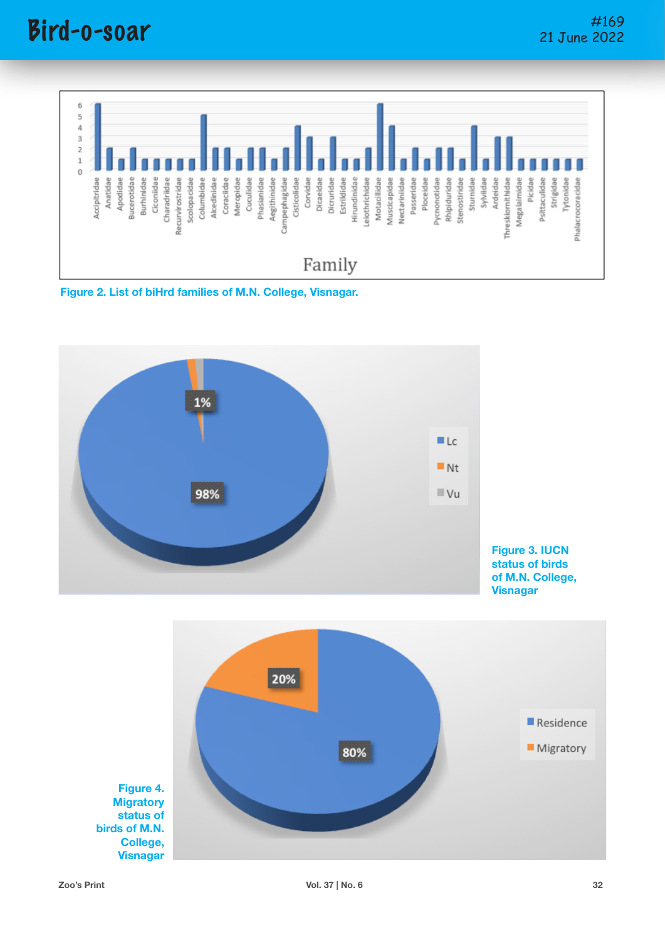

**Figure 2. List of biHrd families of M.N. College, Visnagar.**



**Figure 3. IUCN status of birds of M.N. College, Visnagar**

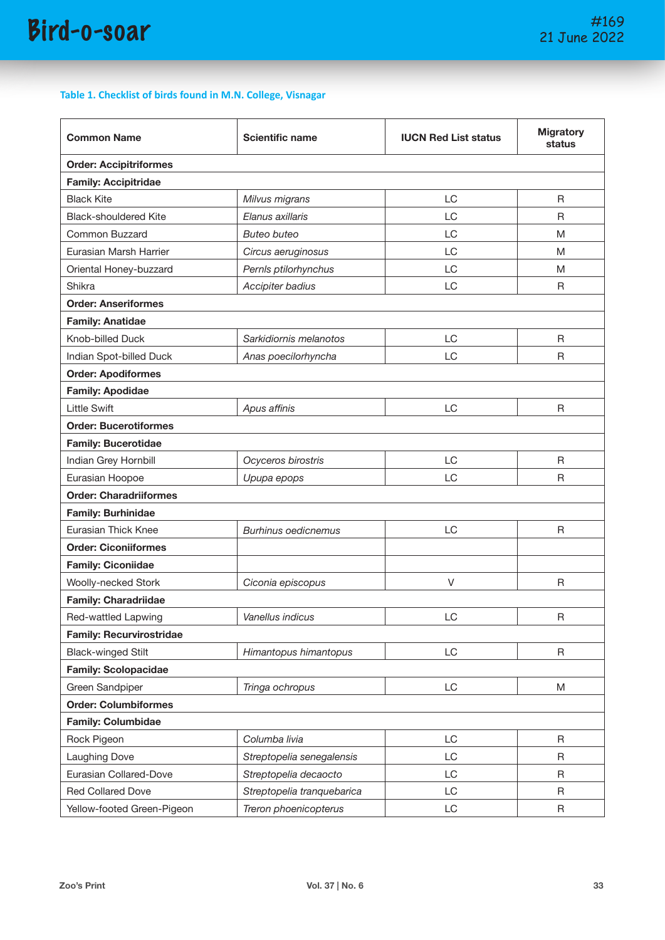## **Table 1. Checklist of birds found in M.N. College, Visnagar**

| <b>Common Name</b>              | <b>Scientific name</b>     | <b>IUCN Red List status</b> | <b>Migratory</b><br>status |  |  |
|---------------------------------|----------------------------|-----------------------------|----------------------------|--|--|
| <b>Order: Accipitriformes</b>   |                            |                             |                            |  |  |
| <b>Family: Accipitridae</b>     |                            |                             |                            |  |  |
| <b>Black Kite</b>               | Milvus migrans             | LC                          | R                          |  |  |
| <b>Black-shouldered Kite</b>    | Elanus axillaris           | LC                          | R                          |  |  |
| Common Buzzard                  | <b>Buteo buteo</b>         | LC                          | M                          |  |  |
| Eurasian Marsh Harrier          | Circus aeruginosus         | LC                          | M                          |  |  |
| Oriental Honey-buzzard          | Pernls ptilorhynchus       | LC                          | M                          |  |  |
| Shikra                          | Accipiter badius           | LC                          | R                          |  |  |
| <b>Order: Anseriformes</b>      |                            |                             |                            |  |  |
| <b>Family: Anatidae</b>         |                            |                             |                            |  |  |
| Knob-billed Duck                | Sarkidiornis melanotos     | LC                          | R                          |  |  |
| Indian Spot-billed Duck         | Anas poecilorhyncha        | LC                          | R                          |  |  |
| <b>Order: Apodiformes</b>       |                            |                             |                            |  |  |
| <b>Family: Apodidae</b>         |                            |                             |                            |  |  |
| <b>Little Swift</b>             | Apus affinis               | LC                          | R                          |  |  |
| <b>Order: Bucerotiformes</b>    |                            |                             |                            |  |  |
| <b>Family: Bucerotidae</b>      |                            |                             |                            |  |  |
| Indian Grey Hornbill            | Ocyceros birostris         | LC                          | R                          |  |  |
| Eurasian Hoopoe                 | Upupa epops                | LC                          | R                          |  |  |
| <b>Order: Charadriiformes</b>   |                            |                             |                            |  |  |
| <b>Family: Burhinidae</b>       |                            |                             |                            |  |  |
| Eurasian Thick Knee             | <b>Burhinus oedicnemus</b> | LC                          | R                          |  |  |
| <b>Order: Ciconiiformes</b>     |                            |                             |                            |  |  |
| <b>Family: Ciconiidae</b>       |                            |                             |                            |  |  |
| Woolly-necked Stork             | Ciconia episcopus          | V                           | R                          |  |  |
| <b>Family: Charadriidae</b>     |                            |                             |                            |  |  |
| Red-wattled Lapwing             | Vanellus indicus           | LC                          | $\mathsf R$                |  |  |
| <b>Family: Recurvirostridae</b> |                            |                             |                            |  |  |
| <b>Black-winged Stilt</b>       | Himantopus himantopus      | LC                          | R                          |  |  |
| <b>Family: Scolopacidae</b>     |                            |                             |                            |  |  |
| Green Sandpiper                 | Tringa ochropus            | LC                          | M                          |  |  |
| <b>Order: Columbiformes</b>     |                            |                             |                            |  |  |
| <b>Family: Columbidae</b>       |                            |                             |                            |  |  |
| Rock Pigeon                     | Columba livia              | LC                          | R                          |  |  |
| Laughing Dove                   | Streptopelia senegalensis  | LC                          | R                          |  |  |
| Eurasian Collared-Dove          | Streptopelia decaocto      | LC                          | R                          |  |  |
| <b>Red Collared Dove</b>        | Streptopelia tranquebarica | LC                          | R                          |  |  |
| Yellow-footed Green-Pigeon      | Treron phoenicopterus      | LC                          | R                          |  |  |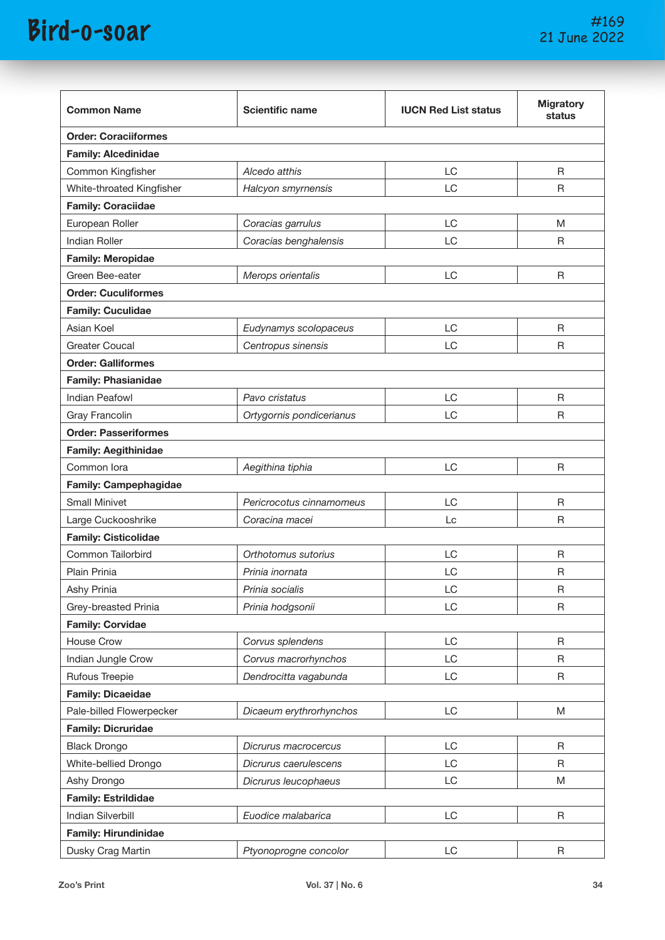| <b>Common Name</b>           | <b>Scientific name</b>   | <b>IUCN Red List status</b> | <b>Migratory</b><br>status |  |  |
|------------------------------|--------------------------|-----------------------------|----------------------------|--|--|
| <b>Order: Coraciiformes</b>  |                          |                             |                            |  |  |
| <b>Family: Alcedinidae</b>   |                          |                             |                            |  |  |
| Common Kingfisher            | Alcedo atthis            | LC                          | R                          |  |  |
| White-throated Kingfisher    | Halcyon smyrnensis       | LC                          | R                          |  |  |
| <b>Family: Coraciidae</b>    |                          |                             |                            |  |  |
| European Roller              | Coracias garrulus        | LC                          | M                          |  |  |
| <b>Indian Roller</b>         | Coracias benghalensis    | LC                          | R                          |  |  |
| <b>Family: Meropidae</b>     |                          |                             |                            |  |  |
| Green Bee-eater              | Merops orientalis        | LC                          | R                          |  |  |
| <b>Order: Cuculiformes</b>   |                          |                             |                            |  |  |
| <b>Family: Cuculidae</b>     |                          |                             |                            |  |  |
| Asian Koel                   | Eudynamys scolopaceus    | LC                          | R                          |  |  |
| <b>Greater Coucal</b>        | Centropus sinensis       | LC                          | R                          |  |  |
| <b>Order: Galliformes</b>    |                          |                             |                            |  |  |
| <b>Family: Phasianidae</b>   |                          |                             |                            |  |  |
| <b>Indian Peafowl</b>        | Pavo cristatus           | LC                          | R                          |  |  |
| <b>Gray Francolin</b>        | Ortygornis pondicerianus | LC                          | R                          |  |  |
| <b>Order: Passeriformes</b>  |                          |                             |                            |  |  |
| <b>Family: Aegithinidae</b>  |                          |                             |                            |  |  |
| Common lora                  | Aegithina tiphia         | LC                          | R                          |  |  |
| <b>Family: Campephagidae</b> |                          |                             |                            |  |  |
| <b>Small Minivet</b>         | Pericrocotus cinnamomeus | LC                          | R                          |  |  |
| Large Cuckooshrike           | Coracina macei           | Lc                          | R                          |  |  |
| <b>Family: Cisticolidae</b>  |                          |                             |                            |  |  |
| Common Tailorbird            | Orthotomus sutorius      | LC                          | R                          |  |  |
| Plain Prinia                 | Prinia inornata          | LC                          | R                          |  |  |
| Ashy Prinia                  | Prinia socialis          | LC                          | $\sf R$                    |  |  |
| Grey-breasted Prinia         | Prinia hodgsonii         | LC                          | R                          |  |  |
| <b>Family: Corvidae</b>      |                          |                             |                            |  |  |
| House Crow                   | Corvus splendens         | LC                          | R                          |  |  |
| Indian Jungle Crow           | Corvus macrorhynchos     | LC                          | R                          |  |  |
| Rufous Treepie               | Dendrocitta vagabunda    | LC                          | R                          |  |  |
| <b>Family: Dicaeidae</b>     |                          |                             |                            |  |  |
| Pale-billed Flowerpecker     | Dicaeum erythrorhynchos  | LC                          | ${\sf M}$                  |  |  |
| <b>Family: Dicruridae</b>    |                          |                             |                            |  |  |
| <b>Black Drongo</b>          | Dicrurus macrocercus     | LC                          | R                          |  |  |
| White-bellied Drongo         | Dicrurus caerulescens    | LC                          | R                          |  |  |
| Ashy Drongo                  | Dicrurus leucophaeus     | LC                          | M                          |  |  |
| <b>Family: Estrildidae</b>   |                          |                             |                            |  |  |
| <b>Indian Silverbill</b>     | Euodice malabarica       | LC                          | R                          |  |  |
| <b>Family: Hirundinidae</b>  |                          |                             |                            |  |  |
| Dusky Crag Martin            | Ptyonoprogne concolor    | LC                          | R                          |  |  |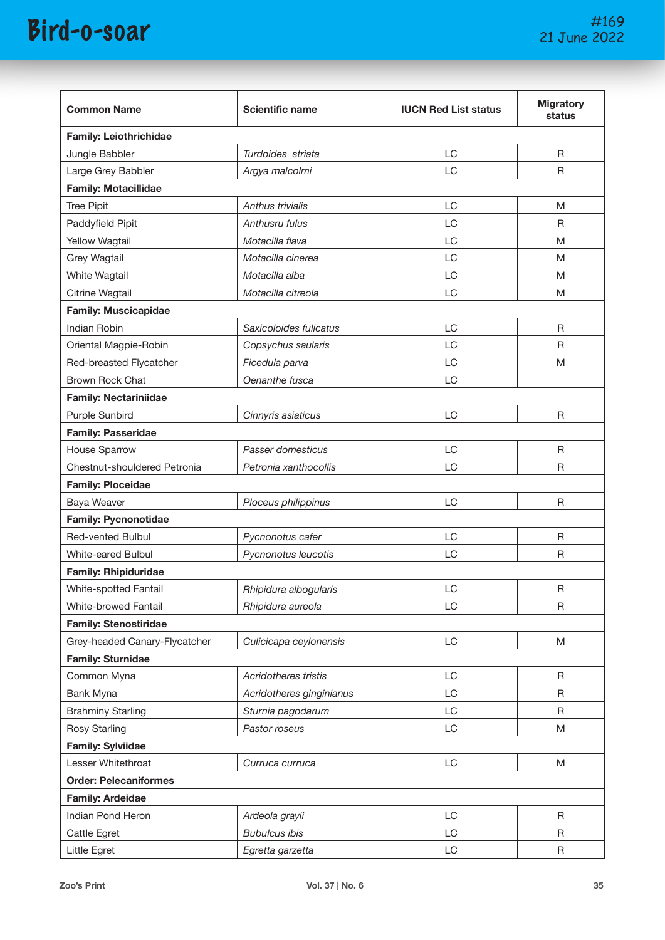| <b>Common Name</b>            | <b>Scientific name</b>   | <b>IUCN Red List status</b> | <b>Migratory</b><br>status |  |  |
|-------------------------------|--------------------------|-----------------------------|----------------------------|--|--|
| <b>Family: Leiothrichidae</b> |                          |                             |                            |  |  |
| Jungle Babbler                | Turdoides striata        | LC                          | $\mathsf R$                |  |  |
| Large Grey Babbler            | Argya malcolmi           | LC                          | R                          |  |  |
| <b>Family: Motacillidae</b>   |                          |                             |                            |  |  |
| <b>Tree Pipit</b>             | Anthus trivialis         | LC                          | M                          |  |  |
| Paddyfield Pipit              | Anthusru fulus           | LC                          | $\mathsf{R}$               |  |  |
| Yellow Wagtail                | Motacilla flava          | LC                          | M                          |  |  |
| <b>Grey Wagtail</b>           | Motacilla cinerea        | LC                          | M                          |  |  |
| White Wagtail                 | Motacilla alba           | LC                          | M                          |  |  |
| Citrine Wagtail               | Motacilla citreola       | LC                          | M                          |  |  |
| <b>Family: Muscicapidae</b>   |                          |                             |                            |  |  |
| <b>Indian Robin</b>           | Saxicoloides fulicatus   | LC                          | R                          |  |  |
| Oriental Magpie-Robin         | Copsychus saularis       | LC                          | R                          |  |  |
| Red-breasted Flycatcher       | Ficedula parva           | LC                          | M                          |  |  |
| Brown Rock Chat               | Oenanthe fusca           | LC                          |                            |  |  |
| <b>Family: Nectariniidae</b>  |                          |                             |                            |  |  |
| Purple Sunbird                | Cinnyris asiaticus       | LC                          | $\mathsf{R}$               |  |  |
| <b>Family: Passeridae</b>     |                          |                             |                            |  |  |
| House Sparrow                 | Passer domesticus        | LC                          | R                          |  |  |
| Chestnut-shouldered Petronia  | Petronia xanthocollis    | LC                          | R                          |  |  |
| <b>Family: Ploceidae</b>      |                          |                             |                            |  |  |
| Baya Weaver                   | Ploceus philippinus      | LC                          | R                          |  |  |
| <b>Family: Pycnonotidae</b>   |                          |                             |                            |  |  |
| <b>Red-vented Bulbul</b>      | Pycnonotus cafer         | LC                          | R                          |  |  |
| White-eared Bulbul            | Pycnonotus leucotis      | LC                          | R                          |  |  |
| <b>Family: Rhipiduridae</b>   |                          |                             |                            |  |  |
| White-spotted Fantail         | Rhipidura albogularis    | LC                          | $\mathsf R$                |  |  |
| White-browed Fantail          | Rhipidura aureola        | LC                          | R                          |  |  |
| <b>Family: Stenostiridae</b>  |                          |                             |                            |  |  |
| Grey-headed Canary-Flycatcher | Culicicapa ceylonensis   | LC                          | M                          |  |  |
| <b>Family: Sturnidae</b>      |                          |                             |                            |  |  |
| Common Myna                   | Acridotheres tristis     | LC                          | R                          |  |  |
| Bank Myna                     | Acridotheres ginginianus | LC                          | R                          |  |  |
| <b>Brahminy Starling</b>      | Sturnia pagodarum        | LC                          | R                          |  |  |
| Rosy Starling                 | Pastor roseus            | LC                          | M                          |  |  |
| <b>Family: Sylviidae</b>      |                          |                             |                            |  |  |
| Lesser Whitethroat            | Curruca curruca          | LC                          | M                          |  |  |
| <b>Order: Pelecaniformes</b>  |                          |                             |                            |  |  |
| <b>Family: Ardeidae</b>       |                          |                             |                            |  |  |
| Indian Pond Heron             | Ardeola grayii           | LC                          | R                          |  |  |
| Cattle Egret                  | <b>Bubulcus ibis</b>     | LC                          | R                          |  |  |
| Little Egret                  | Egretta garzetta         | LC                          | R                          |  |  |